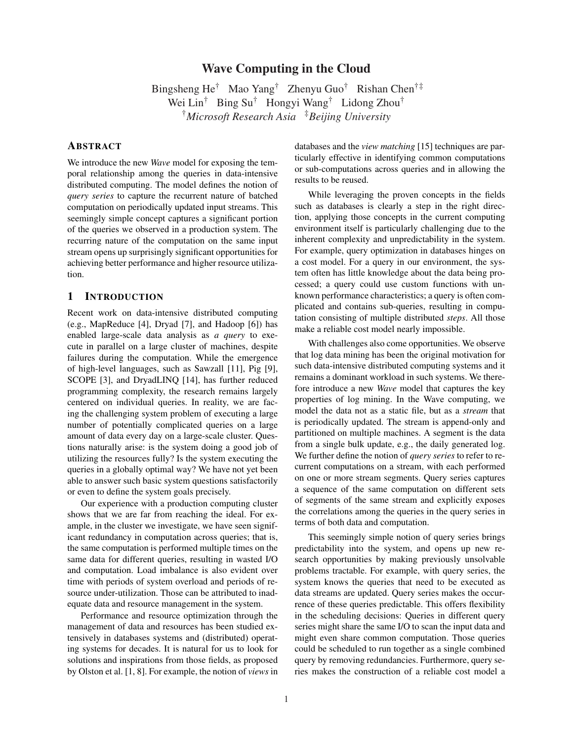# Wave Computing in the Cloud

Bingsheng He† Mao Yang† Zhenyu Guo† Rishan Chen†‡ Wei Lin† Bing Su† Hongyi Wang† Lidong Zhou† †*Microsoft Research Asia* ‡*Beijing University*

## **ABSTRACT**

We introduce the new *Wave* model for exposing the temporal relationship among the queries in data-intensive distributed computing. The model defines the notion of *query series* to capture the recurrent nature of batched computation on periodically updated input streams. This seemingly simple concept captures a significant portion of the queries we observed in a production system. The recurring nature of the computation on the same input stream opens up surprisingly significant opportunities for achieving better performance and higher resource utilization.

### 1 INTRODUCTION

Recent work on data-intensive distributed computing (e.g., MapReduce [4], Dryad [7], and Hadoop [6]) has enabled large-scale data analysis as *a query* to execute in parallel on a large cluster of machines, despite failures during the computation. While the emergence of high-level languages, such as Sawzall [11], Pig [9], SCOPE [3], and DryadLINQ [14], has further reduced programming complexity, the research remains largely centered on individual queries. In reality, we are facing the challenging system problem of executing a large number of potentially complicated queries on a large amount of data every day on a large-scale cluster. Questions naturally arise: is the system doing a good job of utilizing the resources fully? Is the system executing the queries in a globally optimal way? We have not yet been able to answer such basic system questions satisfactorily or even to define the system goals precisely.

Our experience with a production computing cluster shows that we are far from reaching the ideal. For example, in the cluster we investigate, we have seen significant redundancy in computation across queries; that is, the same computation is performed multiple times on the same data for different queries, resulting in wasted I/O and computation. Load imbalance is also evident over time with periods of system overload and periods of resource under-utilization. Those can be attributed to inadequate data and resource management in the system.

Performance and resource optimization through the management of data and resources has been studied extensively in databases systems and (distributed) operating systems for decades. It is natural for us to look for solutions and inspirations from those fields, as proposed by Olston et al. [1, 8]. For example, the notion of *views* in databases and the *view matching* [15] techniques are particularly effective in identifying common computations or sub-computations across queries and in allowing the results to be reused.

While leveraging the proven concepts in the fields such as databases is clearly a step in the right direction, applying those concepts in the current computing environment itself is particularly challenging due to the inherent complexity and unpredictability in the system. For example, query optimization in databases hinges on a cost model. For a query in our environment, the system often has little knowledge about the data being processed; a query could use custom functions with unknown performance characteristics; a query is often complicated and contains sub-queries, resulting in computation consisting of multiple distributed *steps*. All those make a reliable cost model nearly impossible.

With challenges also come opportunities. We observe that log data mining has been the original motivation for such data-intensive distributed computing systems and it remains a dominant workload in such systems. We therefore introduce a new *Wave* model that captures the key properties of log mining. In the Wave computing, we model the data not as a static file, but as a *stream* that is periodically updated. The stream is append-only and partitioned on multiple machines. A segment is the data from a single bulk update, e.g., the daily generated log. We further define the notion of *query series* to refer to recurrent computations on a stream, with each performed on one or more stream segments. Query series captures a sequence of the same computation on different sets of segments of the same stream and explicitly exposes the correlations among the queries in the query series in terms of both data and computation.

This seemingly simple notion of query series brings predictability into the system, and opens up new research opportunities by making previously unsolvable problems tractable. For example, with query series, the system knows the queries that need to be executed as data streams are updated. Query series makes the occurrence of these queries predictable. This offers flexibility in the scheduling decisions: Queries in different query series might share the same I/O to scan the input data and might even share common computation. Those queries could be scheduled to run together as a single combined query by removing redundancies. Furthermore, query series makes the construction of a reliable cost model a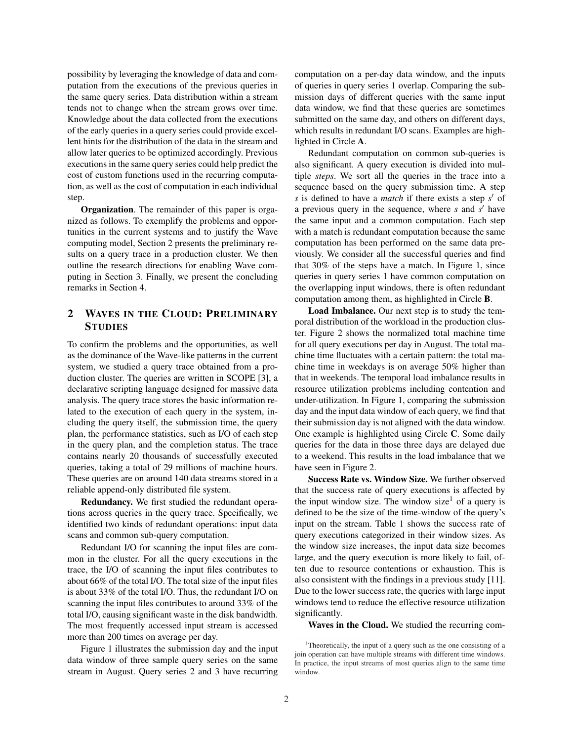possibility by leveraging the knowledge of data and computation from the executions of the previous queries in the same query series. Data distribution within a stream tends not to change when the stream grows over time. Knowledge about the data collected from the executions of the early queries in a query series could provide excellent hints for the distribution of the data in the stream and allow later queries to be optimized accordingly. Previous executions in the same query series could help predict the cost of custom functions used in the recurring computation, as well as the cost of computation in each individual step.

Organization. The remainder of this paper is organized as follows. To exemplify the problems and opportunities in the current systems and to justify the Wave computing model, Section 2 presents the preliminary results on a query trace in a production cluster. We then outline the research directions for enabling Wave computing in Section 3. Finally, we present the concluding remarks in Section 4.

# 2 WAVES IN THE CLOUD: PRELIMINARY **STUDIES**

To confirm the problems and the opportunities, as well as the dominance of the Wave-like patterns in the current system, we studied a query trace obtained from a production cluster. The queries are written in SCOPE [3], a declarative scripting language designed for massive data analysis. The query trace stores the basic information related to the execution of each query in the system, including the query itself, the submission time, the query plan, the performance statistics, such as I/O of each step in the query plan, and the completion status. The trace contains nearly 20 thousands of successfully executed queries, taking a total of 29 millions of machine hours. These queries are on around 140 data streams stored in a reliable append-only distributed file system.

Redundancy. We first studied the redundant operations across queries in the query trace. Specifically, we identified two kinds of redundant operations: input data scans and common sub-query computation.

Redundant I/O for scanning the input files are common in the cluster. For all the query executions in the trace, the I/O of scanning the input files contributes to about 66% of the total I/O. The total size of the input files is about 33% of the total I/O. Thus, the redundant I/O on scanning the input files contributes to around 33% of the total I/O, causing significant waste in the disk bandwidth. The most frequently accessed input stream is accessed more than 200 times on average per day.

Figure 1 illustrates the submission day and the input data window of three sample query series on the same stream in August. Query series 2 and 3 have recurring computation on a per-day data window, and the inputs of queries in query series 1 overlap. Comparing the submission days of different queries with the same input data window, we find that these queries are sometimes submitted on the same day, and others on different days, which results in redundant I/O scans. Examples are highlighted in Circle A.

Redundant computation on common sub-queries is also significant. A query execution is divided into multiple *steps*. We sort all the queries in the trace into a sequence based on the query submission time. A step *s* is defined to have a *match* if there exists a step *s'* of a previous query in the sequence, where *s* and *s'* have the same input and a common computation. Each step with a match is redundant computation because the same computation has been performed on the same data previously. We consider all the successful queries and find that 30% of the steps have a match. In Figure 1, since queries in query series 1 have common computation on the overlapping input windows, there is often redundant computation among them, as highlighted in Circle B.

Load Imbalance. Our next step is to study the temporal distribution of the workload in the production cluster. Figure 2 shows the normalized total machine time for all query executions per day in August. The total machine time fluctuates with a certain pattern: the total machine time in weekdays is on average 50% higher than that in weekends. The temporal load imbalance results in resource utilization problems including contention and under-utilization. In Figure 1, comparing the submission day and the input data window of each query, we find that their submission day is not aligned with the data window. One example is highlighted using Circle C. Some daily queries for the data in those three days are delayed due to a weekend. This results in the load imbalance that we have seen in Figure 2.

Success Rate vs. Window Size. We further observed that the success rate of query executions is affected by the input window size. The window size<sup>1</sup> of a query is defined to be the size of the time-window of the query's input on the stream. Table 1 shows the success rate of query executions categorized in their window sizes. As the window size increases, the input data size becomes large, and the query execution is more likely to fail, often due to resource contentions or exhaustion. This is also consistent with the findings in a previous study [11]. Due to the lower success rate, the queries with large input windows tend to reduce the effective resource utilization significantly.

Waves in the Cloud. We studied the recurring com-

<sup>1</sup>Theoretically, the input of a query such as the one consisting of a join operation can have multiple streams with different time windows. In practice, the input streams of most queries align to the same time window.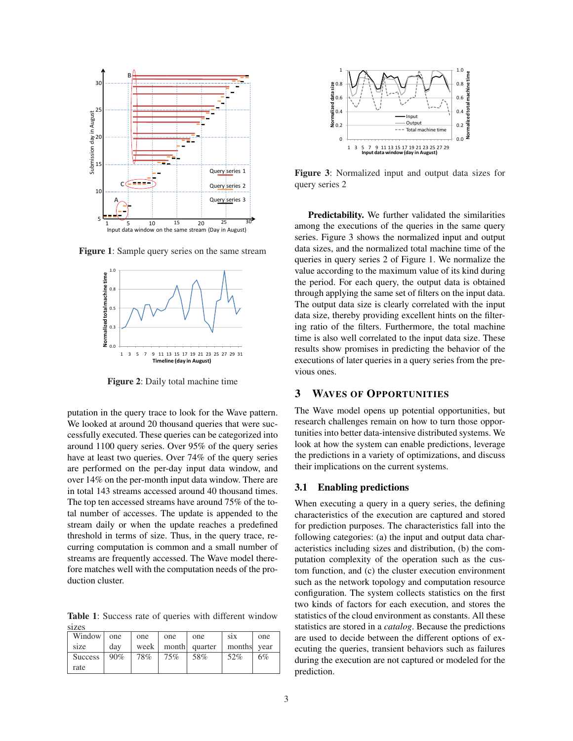

Figure 1: Sample query series on the same stream



Figure 2: Daily total machine time

putation in the query trace to look for the Wave pattern. We looked at around 20 thousand queries that were successfully executed. These queries can be categorized into around 1100 query series. Over 95% of the query series have at least two queries. Over 74% of the query series are performed on the per-day input data window, and over 14% on the per-month input data window. There are in total 143 streams accessed around 40 thousand times. The top ten accessed streams have around 75% of the total number of accesses. The update is appended to the stream daily or when the update reaches a predefined threshold in terms of size. Thus, in the query trace, recurring computation is common and a small number of streams are frequently accessed. The Wave model therefore matches well with the computation needs of the production cluster.

Table 1: Success rate of queries with different window sizes

| Window         | one | one  | one | one           | S1X         | one |
|----------------|-----|------|-----|---------------|-------------|-----|
| size           | dav | week |     | month quarter | months vear |     |
| <b>Success</b> | 90% | 78%  | 75% | 58%           | 52%         | 6%  |
| rate           |     |      |     |               |             |     |



Figure 3: Normalized input and output data sizes for query series 2

Predictability. We further validated the similarities among the executions of the queries in the same query series. Figure 3 shows the normalized input and output data sizes, and the normalized total machine time of the queries in query series 2 of Figure 1. We normalize the value according to the maximum value of its kind during the period. For each query, the output data is obtained through applying the same set of filters on the input data. The output data size is clearly correlated with the input data size, thereby providing excellent hints on the filtering ratio of the filters. Furthermore, the total machine time is also well correlated to the input data size. These results show promises in predicting the behavior of the executions of later queries in a query series from the previous ones.

### 3 WAVES OF OPPORTUNITIES

The Wave model opens up potential opportunities, but research challenges remain on how to turn those opportunities into better data-intensive distributed systems. We look at how the system can enable predictions, leverage the predictions in a variety of optimizations, and discuss their implications on the current systems.

#### 3.1 Enabling predictions

When executing a query in a query series, the defining characteristics of the execution are captured and stored for prediction purposes. The characteristics fall into the following categories: (a) the input and output data characteristics including sizes and distribution, (b) the computation complexity of the operation such as the custom function, and (c) the cluster execution environment such as the network topology and computation resource configuration. The system collects statistics on the first two kinds of factors for each execution, and stores the statistics of the cloud environment as constants. All these statistics are stored in a *catalog*. Because the predictions are used to decide between the different options of executing the queries, transient behaviors such as failures during the execution are not captured or modeled for the prediction.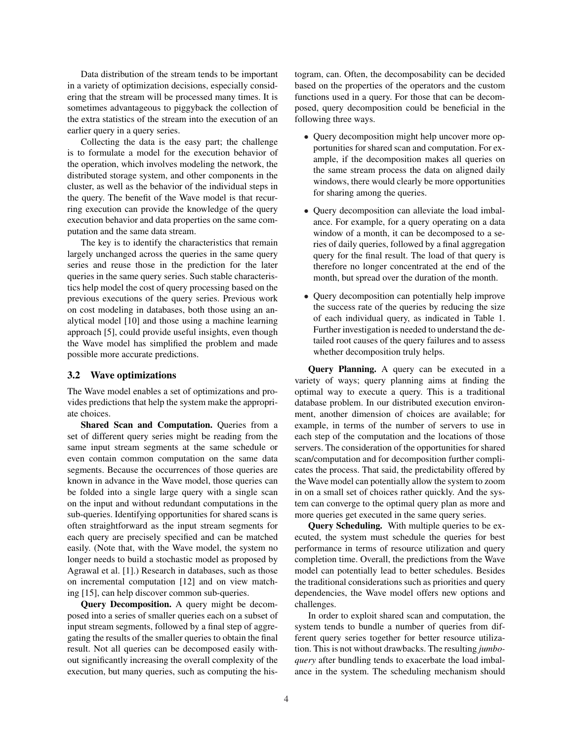Data distribution of the stream tends to be important in a variety of optimization decisions, especially considering that the stream will be processed many times. It is sometimes advantageous to piggyback the collection of the extra statistics of the stream into the execution of an earlier query in a query series.

Collecting the data is the easy part; the challenge is to formulate a model for the execution behavior of the operation, which involves modeling the network, the distributed storage system, and other components in the cluster, as well as the behavior of the individual steps in the query. The benefit of the Wave model is that recurring execution can provide the knowledge of the query execution behavior and data properties on the same computation and the same data stream.

The key is to identify the characteristics that remain largely unchanged across the queries in the same query series and reuse those in the prediction for the later queries in the same query series. Such stable characteristics help model the cost of query processing based on the previous executions of the query series. Previous work on cost modeling in databases, both those using an analytical model [10] and those using a machine learning approach [5], could provide useful insights, even though the Wave model has simplified the problem and made possible more accurate predictions.

#### 3.2 Wave optimizations

The Wave model enables a set of optimizations and provides predictions that help the system make the appropriate choices.

Shared Scan and Computation. Queries from a set of different query series might be reading from the same input stream segments at the same schedule or even contain common computation on the same data segments. Because the occurrences of those queries are known in advance in the Wave model, those queries can be folded into a single large query with a single scan on the input and without redundant computations in the sub-queries. Identifying opportunities for shared scans is often straightforward as the input stream segments for each query are precisely specified and can be matched easily. (Note that, with the Wave model, the system no longer needs to build a stochastic model as proposed by Agrawal et al. [1].) Research in databases, such as those on incremental computation [12] and on view matching [15], can help discover common sub-queries.

Query Decomposition. A query might be decomposed into a series of smaller queries each on a subset of input stream segments, followed by a final step of aggregating the results of the smaller queries to obtain the final result. Not all queries can be decomposed easily without significantly increasing the overall complexity of the execution, but many queries, such as computing the histogram, can. Often, the decomposability can be decided based on the properties of the operators and the custom functions used in a query. For those that can be decomposed, query decomposition could be beneficial in the following three ways.

- Query decomposition might help uncover more opportunities for shared scan and computation. For example, if the decomposition makes all queries on the same stream process the data on aligned daily windows, there would clearly be more opportunities for sharing among the queries.
- Query decomposition can alleviate the load imbalance. For example, for a query operating on a data window of a month, it can be decomposed to a series of daily queries, followed by a final aggregation query for the final result. The load of that query is therefore no longer concentrated at the end of the month, but spread over the duration of the month.
- Query decomposition can potentially help improve the success rate of the queries by reducing the size of each individual query, as indicated in Table 1. Further investigation is needed to understand the detailed root causes of the query failures and to assess whether decomposition truly helps.

Query Planning. A query can be executed in a variety of ways; query planning aims at finding the optimal way to execute a query. This is a traditional database problem. In our distributed execution environment, another dimension of choices are available; for example, in terms of the number of servers to use in each step of the computation and the locations of those servers. The consideration of the opportunities for shared scan/computation and for decomposition further complicates the process. That said, the predictability offered by the Wave model can potentially allow the system to zoom in on a small set of choices rather quickly. And the system can converge to the optimal query plan as more and more queries get executed in the same query series.

Query Scheduling. With multiple queries to be executed, the system must schedule the queries for best performance in terms of resource utilization and query completion time. Overall, the predictions from the Wave model can potentially lead to better schedules. Besides the traditional considerations such as priorities and query dependencies, the Wave model offers new options and challenges.

In order to exploit shared scan and computation, the system tends to bundle a number of queries from different query series together for better resource utilization. This is not without drawbacks. The resulting *jumboquery* after bundling tends to exacerbate the load imbalance in the system. The scheduling mechanism should